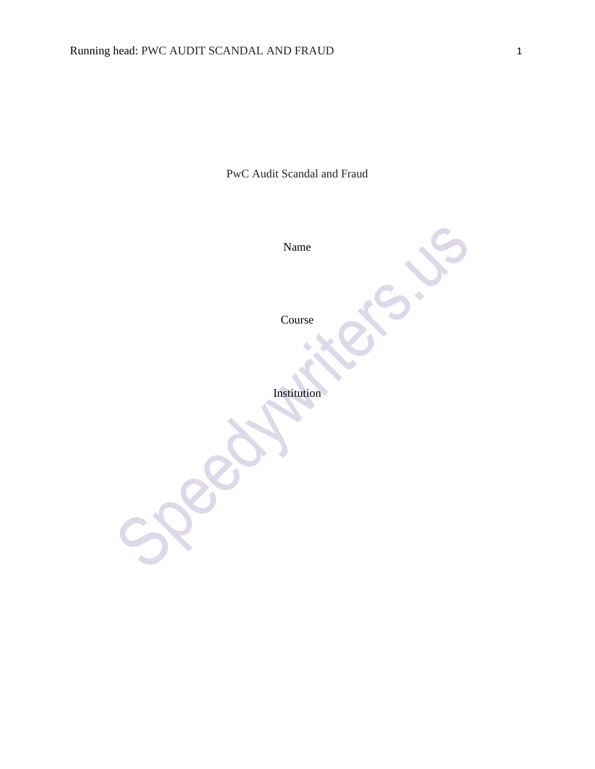PwC Audit Scandal and Fraud

Name

Course

 $\ddot{\phantom{0}}$ 

Institution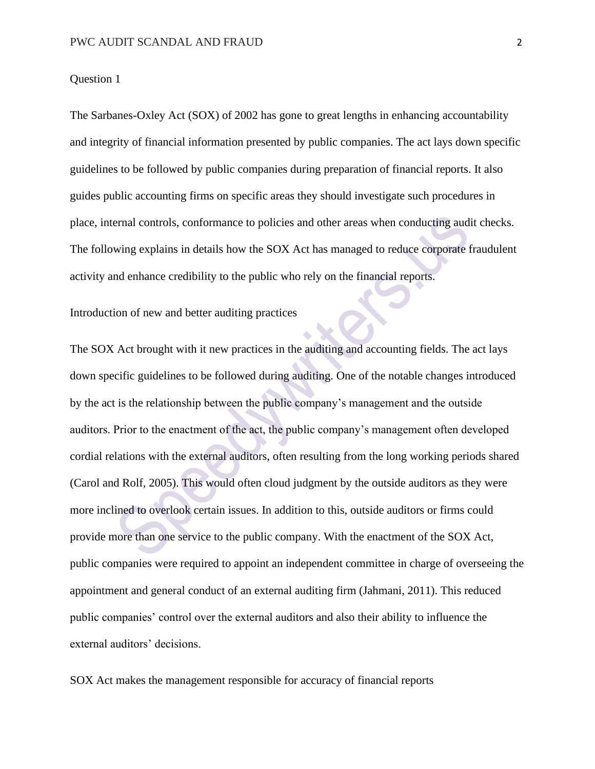# Question 1

The Sarbanes-Oxley Act (SOX) of 2002 has gone to great lengths in enhancing accountability and integrity of financial information presented by public companies. The act lays down specific guidelines to be followed by public companies during preparation of financial reports. It also guides public accounting firms on specific areas they should investigate such procedures in place, internal controls, conformance to policies and other areas when conducting audit checks. The following explains in details how the SOX Act has managed to reduce corporate fraudulent activity and enhance credibility to the public who rely on the financial reports.

# Introduction of new and better auditing practices

The SOX Act brought with it new practices in the auditing and accounting fields. The act lays down specific guidelines to be followed during auditing. One of the notable changes introduced by the act is the relationship between the public company's management and the outside auditors. Prior to the enactment of the act, the public company's management often developed cordial relations with the external auditors, often resulting from the long working periods shared (Carol and Rolf, 2005). This would often cloud judgment by the outside auditors as they were more inclined to overlook certain issues. In addition to this, outside auditors or firms could provide more than one service to the public company. With the enactment of the SOX Act, public companies were required to appoint an independent committee in charge of overseeing the appointment and general conduct of an external auditing firm (Jahmani, 2011). This reduced public companies' control over the external auditors and also their ability to influence the external auditors' decisions.

SOX Act makes the management responsible for accuracy of financial reports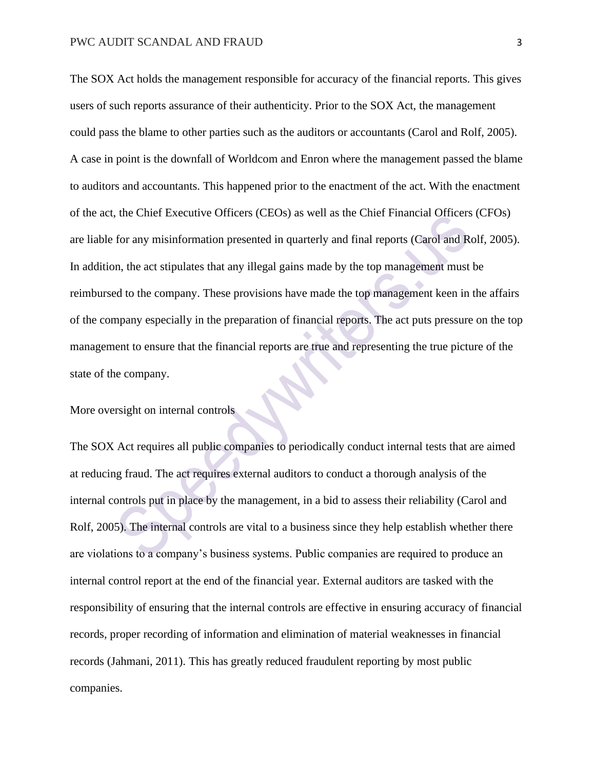The SOX Act holds the management responsible for accuracy of the financial reports. This gives users of such reports assurance of their authenticity. Prior to the SOX Act, the management could pass the blame to other parties such as the auditors or accountants (Carol and Rolf, 2005). A case in point is the downfall of Worldcom and Enron where the management passed the blame to auditors and accountants. This happened prior to the enactment of the act. With the enactment of the act, the Chief Executive Officers (CEOs) as well as the Chief Financial Officers (CFOs) are liable for any misinformation presented in quarterly and final reports (Carol and Rolf, 2005). In addition, the act stipulates that any illegal gains made by the top management must be reimbursed to the company. These provisions have made the top management keen in the affairs of the company especially in the preparation of financial reports. The act puts pressure on the top management to ensure that the financial reports are true and representing the true picture of the state of the company.

More oversight on internal controls

The SOX Act requires all public companies to periodically conduct internal tests that are aimed at reducing fraud. The act requires external auditors to conduct a thorough analysis of the internal controls put in place by the management, in a bid to assess their reliability (Carol and Rolf, 2005). The internal controls are vital to a business since they help establish whether there are violations to a company's business systems. Public companies are required to produce an internal control report at the end of the financial year. External auditors are tasked with the responsibility of ensuring that the internal controls are effective in ensuring accuracy of financial records, proper recording of information and elimination of material weaknesses in financial records (Jahmani, 2011). This has greatly reduced fraudulent reporting by most public companies.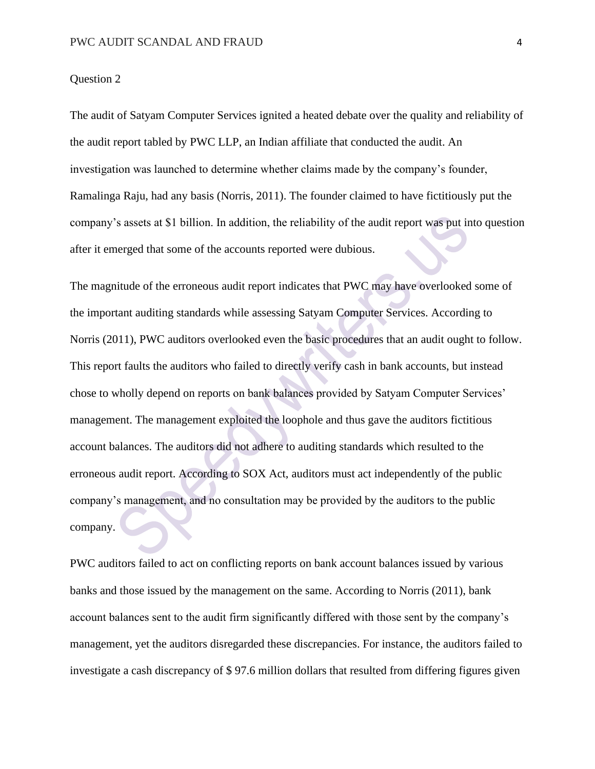## Question 2

The audit of Satyam Computer Services ignited a heated debate over the quality and reliability of the audit report tabled by PWC LLP, an Indian affiliate that conducted the audit. An investigation was launched to determine whether claims made by the company's founder, Ramalinga Raju, had any basis (Norris, 2011). The founder claimed to have fictitiously put the company's assets at \$1 billion. In addition, the reliability of the audit report was put into question after it emerged that some of the accounts reported were dubious.

The magnitude of the erroneous audit report indicates that PWC may have overlooked some of the important auditing standards while assessing Satyam Computer Services. According to Norris (2011), PWC auditors overlooked even the basic procedures that an audit ought to follow. This report faults the auditors who failed to directly verify cash in bank accounts, but instead chose to wholly depend on reports on bank balances provided by Satyam Computer Services' management. The management exploited the loophole and thus gave the auditors fictitious account balances. The auditors did not adhere to auditing standards which resulted to the erroneous audit report. According to SOX Act, auditors must act independently of the public company's management, and no consultation may be provided by the auditors to the public company.

PWC auditors failed to act on conflicting reports on bank account balances issued by various banks and those issued by the management on the same. According to Norris (2011), bank account balances sent to the audit firm significantly differed with those sent by the company's management, yet the auditors disregarded these discrepancies. For instance, the auditors failed to investigate a cash discrepancy of \$ 97.6 million dollars that resulted from differing figures given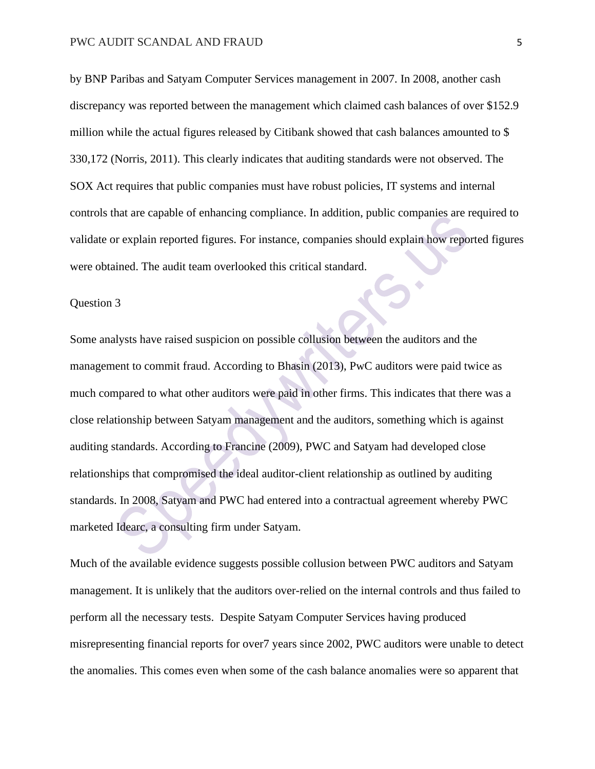by BNP Paribas and Satyam Computer Services management in 2007. In 2008, another cash discrepancy was reported between the management which claimed cash balances of over \$152.9 million while the actual figures released by Citibank showed that cash balances amounted to \$ 330,172 (Norris, 2011). This clearly indicates that auditing standards were not observed. The SOX Act requires that public companies must have robust policies, IT systems and internal controls that are capable of enhancing compliance. In addition, public companies are required to validate or explain reported figures. For instance, companies should explain how reported figures were obtained. The audit team overlooked this critical standard.

#### Question 3

Some analysts have raised suspicion on possible collusion between the auditors and the management to commit fraud. According to Bhasin (2013), PwC auditors were paid twice as much compared to what other auditors were paid in other firms. This indicates that there was a close relationship between Satyam management and the auditors, something which is against auditing standards. According to Francine (2009), PWC and Satyam had developed close relationships that compromised the ideal auditor-client relationship as outlined by auditing standards. In 2008, Satyam and PWC had entered into a contractual agreement whereby PWC marketed Idearc, a consulting firm under Satyam.

Much of the available evidence suggests possible collusion between PWC auditors and Satyam management. It is unlikely that the auditors over-relied on the internal controls and thus failed to perform all the necessary tests. Despite Satyam Computer Services having produced misrepresenting financial reports for over7 years since 2002, PWC auditors were unable to detect the anomalies. This comes even when some of the cash balance anomalies were so apparent that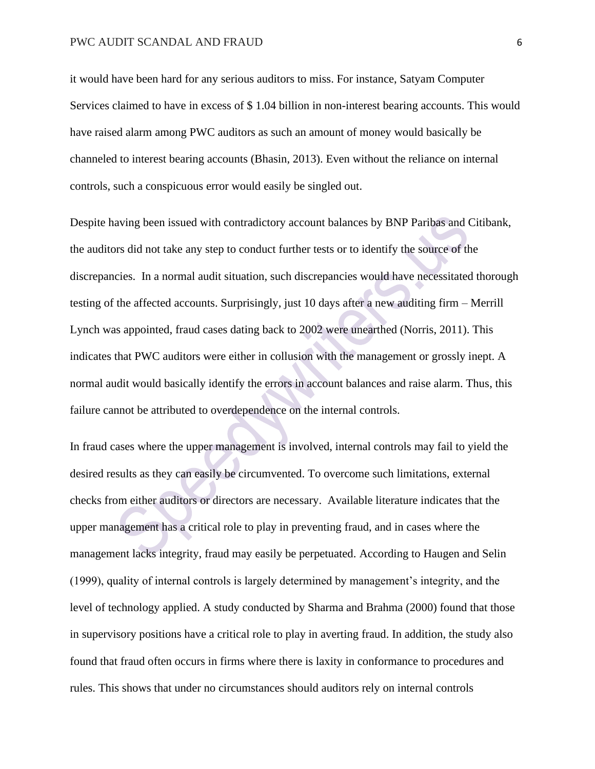it would have been hard for any serious auditors to miss. For instance, Satyam Computer Services claimed to have in excess of \$ 1.04 billion in non-interest bearing accounts. This would have raised alarm among PWC auditors as such an amount of money would basically be channeled to interest bearing accounts (Bhasin, 2013). Even without the reliance on internal controls, such a conspicuous error would easily be singled out.

Despite having been issued with contradictory account balances by BNP Paribas and Citibank, the auditors did not take any step to conduct further tests or to identify the source of the discrepancies. In a normal audit situation, such discrepancies would have necessitated thorough testing of the affected accounts. Surprisingly, just 10 days after a new auditing firm – Merrill Lynch was appointed, fraud cases dating back to 2002 were unearthed (Norris, 2011). This indicates that PWC auditors were either in collusion with the management or grossly inept. A normal audit would basically identify the errors in account balances and raise alarm. Thus, this failure cannot be attributed to overdependence on the internal controls.

In fraud cases where the upper management is involved, internal controls may fail to yield the desired results as they can easily be circumvented. To overcome such limitations, external checks from either auditors or directors are necessary. Available literature indicates that the upper management has a critical role to play in preventing fraud, and in cases where the management lacks integrity, fraud may easily be perpetuated. According to Haugen and Selin (1999), quality of internal controls is largely determined by management's integrity, and the level of technology applied. A study conducted by Sharma and Brahma (2000) found that those in supervisory positions have a critical role to play in averting fraud. In addition, the study also found that fraud often occurs in firms where there is laxity in conformance to procedures and rules. This shows that under no circumstances should auditors rely on internal controls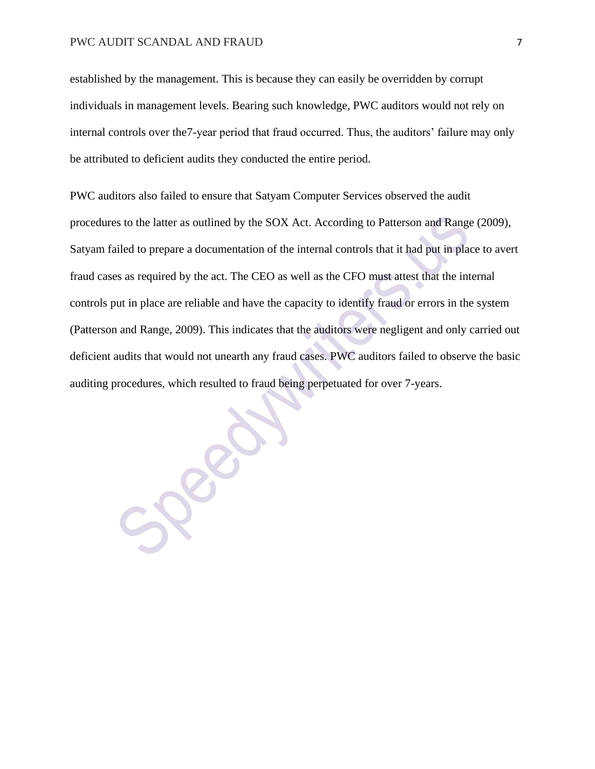established by the management. This is because they can easily be overridden by corrupt individuals in management levels. Bearing such knowledge, PWC auditors would not rely on internal controls over the7-year period that fraud occurred. Thus, the auditors' failure may only be attributed to deficient audits they conducted the entire period.

PWC auditors also failed to ensure that Satyam Computer Services observed the audit procedures to the latter as outlined by the SOX Act. According to Patterson and Range (2009), Satyam failed to prepare a documentation of the internal controls that it had put in place to avert fraud cases as required by the act. The CEO as well as the CFO must attest that the internal controls put in place are reliable and have the capacity to identify fraud or errors in the system (Patterson and Range, 2009). This indicates that the auditors were negligent and only carried out deficient audits that would not unearth any fraud cases. PWC auditors failed to observe the basic auditing procedures, which resulted to fraud being perpetuated for over 7-years.

SPERI